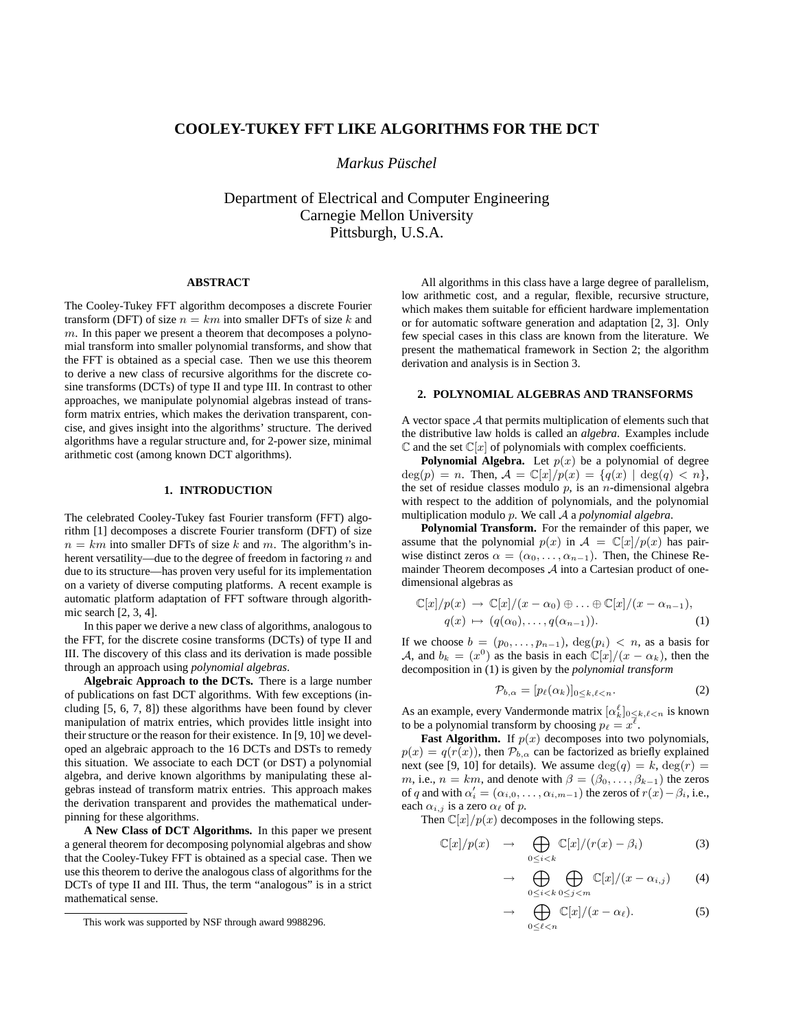# **COOLEY-TUKEY FFT LIKE ALGORITHMS FOR THE DCT**

*Markus Pusc ¨ hel*

Department of Electrical and Computer Engineering Carnegie Mellon University Pittsburgh, U.S.A.

## **ABSTRACT**

The Cooley-Tukey FFT algorithm decomposes a discrete Fourier transform (DFT) of size  $n = km$  into smaller DFTs of size k and  $m$ . In this paper we present a theorem that decomposes a polynomial transform into smaller polynomial transforms, and show that the FFT is obtained as a special case. Then we use this theorem to derive a new class of recursive algorithms for the discrete cosine transforms (DCTs) of type II and type III. In contrast to other approaches, we manipulate polynomial algebras instead of transform matrix entries, which makes the derivation transparent, concise, and gives insight into the algorithms' structure. The derived algorithms have a regular structure and, for 2-power size, minimal arithmetic cost (among known DCT algorithms).

#### **1. INTRODUCTION**

The celebrated Cooley-Tukey fast Fourier transform (FFT) algorithm [1] decomposes a discrete Fourier transform (DFT) of size  $n = km$  into smaller DFTs of size k and m. The algorithm's inherent versatility—due to the degree of freedom in factoring  $n$  and due to its structure—has proven very useful for its implementation on a variety of diverse computing platforms. A recent example is automatic platform adaptation of FFT software through algorithmic search [2, 3, 4].

In this paper we derive a new class of algorithms, analogous to the FFT, for the discrete cosine transforms (DCTs) of type II and III. The discovery of this class and its derivation is made possible through an approach using *polynomial algebras*.

**Algebraic Approach to the DCTs.** There is a large number of publications on fast DCT algorithms. With few exceptions (including [5, 6, 7, 8]) these algorithms have been found by clever manipulation of matrix entries, which provides little insight into their structure or the reason for their existence. In [9, 10] we developed an algebraic approach to the 16 DCTs and DSTs to remedy this situation. We associate to each DCT (or DST) a polynomial algebra, and derive known algorithms by manipulating these algebras instead of transform matrix entries. This approach makes the derivation transparent and provides the mathematical underpinning for these algorithms.

**A New Class of DCT Algorithms.** In this paper we present a general theorem for decomposing polynomial algebras and show that the Cooley-Tukey FFT is obtained as a special case. Then we use this theorem to derive the analogous class of algorithms for the DCTs of type II and III. Thus, the term "analogous" is in a strict mathematical sense.

All algorithms in this class have a large degree of parallelism, low arithmetic cost, and a regular, flexible, recursive structure, which makes them suitable for efficient hardware implementation or for automatic software generation and adaptation [2, 3]. Only few special cases in this class are known from the literature. We present the mathematical framework in Section 2; the algorithm derivation and analysis is in Section 3.

## **2. POLYNOMIAL ALGEBRAS AND TRANSFORMS**

A vector space A that permits multiplication of elements such that the distributive law holds is called an *algebra*. Examples include  $\mathbb C$  and the set  $\mathbb C[x]$  of polynomials with complex coefficients.

**Polynomial Algebra.** Let  $p(x)$  be a polynomial of degree  $deg(p) = n$ . Then,  $A = \mathbb{C}[x]/p(x) = \{q(x) | deg(q) < n\},$ the set of residue classes modulo  $p$ , is an  $n$ -dimensional algebra with respect to the addition of polynomials, and the polynomial multiplication modulo p. We call A a *polynomial algebra*.

**Polynomial Transform.** For the remainder of this paper, we assume that the polynomial  $p(x)$  in  $\mathcal{A} = \mathbb{C}[x]/p(x)$  has pairwise distinct zeros  $\alpha = (\alpha_0, \dots, \alpha_{n-1})$ . Then, the Chinese Remainder Theorem decomposes  $A$  into a Cartesian product of onedimensional algebras as

$$
\mathbb{C}[x]/p(x) \to \mathbb{C}[x]/(x - \alpha_0) \oplus \ldots \oplus \mathbb{C}[x]/(x - \alpha_{n-1}),
$$
  
 
$$
q(x) \mapsto (q(\alpha_0), \ldots, q(\alpha_{n-1})). \tag{1}
$$

If we choose  $b = (p_0, \ldots, p_{n-1}), \deg(p_i) < n$ , as a basis for A, and  $b_k = (x^0)$  as the basis in each  $\mathbb{C}[x]/(x - \alpha_k)$ , then the decomposition in (1) is given by the *polynomial transform*

$$
\mathcal{P}_{b,\alpha} = [p_{\ell}(\alpha_k)]_{0 \le k,\ell < n}.\tag{2}
$$

As an example, every Vandermonde matrix  $[\alpha_k^{\ell}]_{0 \leq k, \ell < n}$  is known to be a polynomial transform by choosing  $p_\ell = x^{\overline{\ell}}$ .

**Fast Algorithm.** If  $p(x)$  decomposes into two polynomials,  $p(x) = q(r(x))$ , then  $\mathcal{P}_{b,\alpha}$  can be factorized as briefly explained next (see [9, 10] for details). We assume  $deg(q) = k$ ,  $deg(r) =$ m, i.e.,  $n = km$ , and denote with  $\beta = (\beta_0, \dots, \beta_{k-1})$  the zeros of q and with  $\alpha'_i = (\alpha_{i,0}, \dots, \alpha_{i,m-1})$  the zeros of  $r(x) - \beta_i$ , i.e., each  $\alpha_{i,j}$  is a zero  $\alpha_{\ell}$  of p.

Then  $\mathbb{C}[x]/p(x)$  decomposes in the following steps.

$$
\mathbb{C}[x]/p(x) \rightarrow \bigoplus_{0 \le i < k} \mathbb{C}[x]/(r(x) - \beta_i) \tag{3}
$$

$$
\rightarrow \bigoplus_{0 \leq i < k} \bigoplus_{0 \leq j < m} \mathbb{C}[x]/(x - \alpha_{i,j}) \tag{4}
$$

$$
\rightarrow \bigoplus_{0 \leq \ell < n} \mathbb{C}[x]/(x - \alpha_{\ell}).\tag{5}
$$

This work was supported by NSF through award 9988296.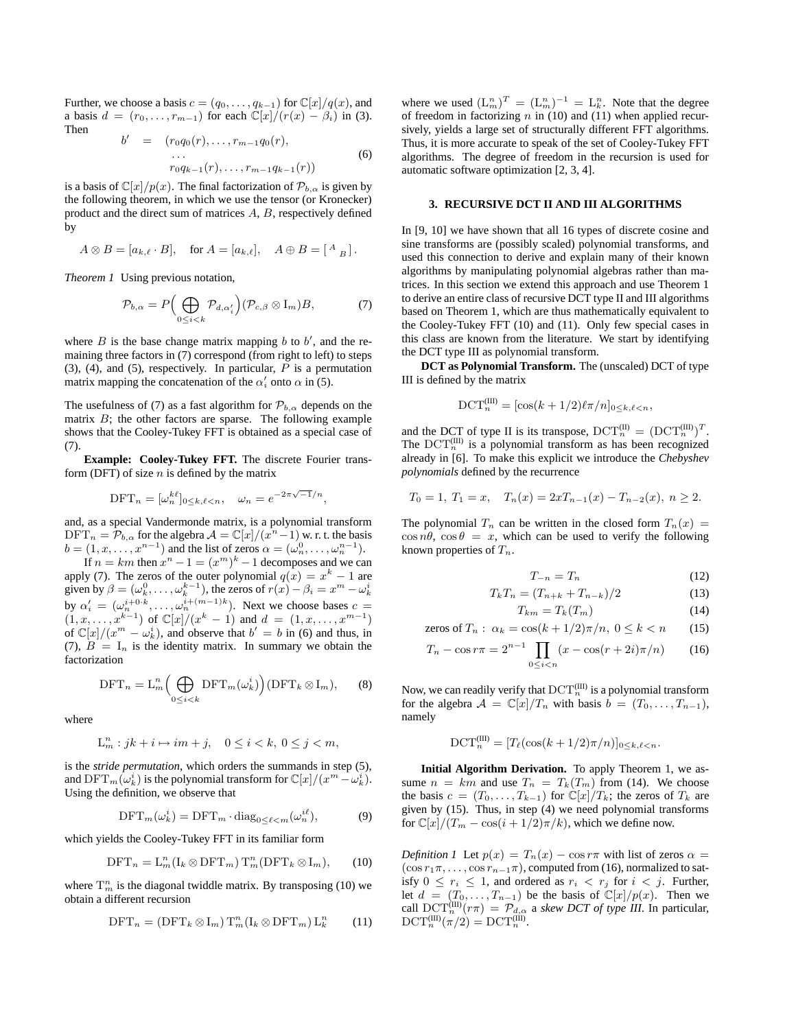Further, we choose a basis  $c = (q_0, \ldots, q_{k-1})$  for  $\mathbb{C}[x]/q(x)$ , and a basis  $d = (r_0, \ldots, r_{m-1})$  for each  $\mathbb{C}[x]/(r(x) - \beta_i)$  in (3). Then

$$
b' = (r_0 q_0(r), \dots, r_{m-1} q_0(r),
$$
  
...  

$$
r_0 q_{k-1}(r), \dots, r_{m-1} q_{k-1}(r))
$$
 (6)

is a basis of  $\mathbb{C}[x]/p(x)$ . The final factorization of  $\mathcal{P}_{b,\alpha}$  is given by the following theorem, in which we use the tensor (or Kronecker) product and the direct sum of matrices A, B, respectively defined by

$$
A \otimes B = [a_{k,\ell} \cdot B], \quad \text{for } A = [a_{k,\ell}], \quad A \oplus B = \left[ \begin{smallmatrix} A & B \end{smallmatrix} \right].
$$

*Theorem 1* Using previous notation,

$$
\mathcal{P}_{b,\alpha} = P\Big(\bigoplus_{0 \le i < k} \mathcal{P}_{d,\alpha'_i}\Big) (\mathcal{P}_{c,\beta} \otimes I_m) B,\tag{7}
$$

where  $B$  is the base change matrix mapping  $b$  to  $b'$ , and the remaining three factors in (7) correspond (from right to left) to steps (3), (4), and (5), respectively. In particular,  $P$  is a permutation matrix mapping the concatenation of the  $\alpha'_i$  onto  $\alpha$  in (5).

The usefulness of (7) as a fast algorithm for  $\mathcal{P}_{b,\alpha}$  depends on the matrix  $B$ ; the other factors are sparse. The following example shows that the Cooley-Tukey FFT is obtained as a special case of (7).

**Example: Cooley-Tukey FFT.** The discrete Fourier transform (DFT) of size  $n$  is defined by the matrix

$$
\text{DFT}_n = [\omega_n^{k\ell}]_{0 \le k,\ell < n}, \quad \omega_n = e^{-2\pi\sqrt{-1}/n},
$$

and, as a special Vandermonde matrix, is a polynomial transform  $\text{DFT}_n = \overline{\mathcal{P}_{b,\alpha}}$  for the algebra  $\mathcal{A} = \mathbb{C}[x]/(x^n - 1)$  w. r. t. the basis  $b = (1, x, \dots, x^{n-1})$  and the list of zeros  $\alpha = (\omega_n^0, \dots, \omega_n^{n-1})$ .

If  $n = km$  then  $x^n - 1 = (x^m)^k - 1$  decomposes and we can apply (7). The zeros of the outer polynomial  $q(x) = x<sup>k</sup> - 1$  are given by  $\beta = (\omega_k^0, \dots, \omega_k^{k-1})$ , the zeros of  $r(x) - \beta_i = x^m - \omega_k^i$ by  $\alpha'_i = (\omega_n^{i+0,k}, \dots, \omega_n^{i+(m-1)k})$ . Next we choose bases  $c =$  $(1, x, \ldots, x^{k-1})$  of  $\mathbb{C}[x]/(x^k - 1)$  and  $d = (1, x, \ldots, x^{m-1})$ of  $\mathbb{C}[x]/(x^m - \omega_k^i)$ , and observe that  $b' = b$  in (6) and thus, in (7),  $B = I_n$  is the identity matrix. In summary we obtain the factorization

$$
\text{DFT}_n = \text{L}_m^n \bigg( \bigoplus_{0 \le i < k} \text{DFT}_m(\omega_k^i) \bigg) (\text{DFT}_k \otimes \text{I}_m), \qquad (8)
$$

where

$$
L_m^n : jk + i \mapsto im + j, \quad 0 \le i < k, \ 0 \le j < m,
$$

is the *stride permutation*, which orders the summands in step (5), and  $\mathrm{DFT}_m(\omega_k^i)$  is the polynomial transform for  $\mathbb{C}[x]/(x^m-\omega_k^i).$ Using the definition, we observe that

$$
\text{DFT}_m(\omega_k^i) = \text{DFT}_m \cdot \text{diag}_{0 \le \ell < m}(\omega_n^{i\ell}),\tag{9}
$$

which yields the Cooley-Tukey FFT in its familiar form

$$
\text{DFT}_n = \mathcal{L}_m^n(\mathcal{I}_k \otimes \text{DFT}_m) \mathcal{T}_m^n(\text{DFT}_k \otimes \mathcal{I}_m),\qquad(10)
$$

where  $T_m^n$  is the diagonal twiddle matrix. By transposing (10) we obtain a different recursion

$$
\text{DFT}_n = (\text{DFT}_k \otimes I_m) T_m^n (I_k \otimes \text{DFT}_m) L_k^n \qquad (11)
$$

where we used  $(L_m^n)^T = (L_m^n)^{-1} = L_k^n$ . Note that the degree of freedom in factorizing  $n$  in (10) and (11) when applied recursively, yields a large set of structurally different FFT algorithms. Thus, it is more accurate to speak of the set of Cooley-Tukey FFT algorithms. The degree of freedom in the recursion is used for automatic software optimization [2, 3, 4].

### **3. RECURSIVE DCT II AND III ALGORITHMS**

In [9, 10] we have shown that all 16 types of discrete cosine and sine transforms are (possibly scaled) polynomial transforms, and used this connection to derive and explain many of their known algorithms by manipulating polynomial algebras rather than matrices. In this section we extend this approach and use Theorem 1 to derive an entire class of recursive DCT type II and III algorithms based on Theorem 1, which are thus mathematically equivalent to the Cooley-Tukey FFT (10) and (11). Only few special cases in this class are known from the literature. We start by identifying the DCT type III as polynomial transform.

**DCT as Polynomial Transform.** The (unscaled) DCT of type III is defined by the matrix

$$
DCT_n^{(III)} = [\cos((k+1/2)\ell\pi/n]_{0 \le k,\ell < n},
$$

and the DCT of type II is its transpose,  $\mathrm{DCT}_n^{(\text{II})} = (\mathrm{DCT}_n^{(\text{III})})^T$ . The  $\mathrm{DCT}_n^{\text{(III)}}$  is a polynomial transform as has been recognized already in [6]. To make this explicit we introduce the *Chebyshev polynomials* defined by the recurrence

$$
T_0 = 1, T_1 = x, T_n(x) = 2xT_{n-1}(x) - T_{n-2}(x), n \ge 2.
$$

The polynomial  $T_n$  can be written in the closed form  $T_n(x) =$  $\cos n\theta$ ,  $\cos \theta = x$ , which can be used to verify the following known properties of  $T_n$ .

$$
T_{-n} = T_n \tag{12}
$$

$$
T_k T_n = (T_{n+k} + T_{n-k})/2 \tag{13}
$$

$$
T_{km} = T_k(T_m) \tag{14}
$$

zeros of 
$$
T_n
$$
:  $\alpha_k = \cos(k + 1/2)\pi/n$ ,  $0 \le k < n$  (15)

$$
T_n - \cos r\pi = 2^{n-1} \prod_{0 \le i < n} (x - \cos(r + 2i)\pi/n) \tag{16}
$$

Now, we can readily verify that  $\mathrm{DCT}_n^{\mathrm{(III)}}$  is a polynomial transform for the algebra  $A = \mathbb{C}[x]/T_n$  with basis  $b = (T_0, \ldots, T_{n-1}),$ namely

$$
DCT_n^{(III)} = [T_{\ell}(\cos(k+1/2)\pi/n)]_{0 \le k,\ell < n}.
$$

**Initial Algorithm Derivation.** To apply Theorem 1, we assume  $n = km$  and use  $T_n = T_k(T_m)$  from (14). We choose the basis  $c = (T_0, \ldots, T_{k-1})$  for  $\mathbb{C}[x]/T_k$ ; the zeros of  $T_k$  are given by (15). Thus, in step (4) we need polynomial transforms for  $\mathbb{C}[x]/(T_m - \cos(i + 1/2)\pi/k)$ , which we define now.

*Definition 1* Let  $p(x) = T_n(x) - \cos r\pi$  with list of zeros  $\alpha =$  $(\cos r_1\pi, \ldots, \cos r_{n-1}\pi)$ , computed from (16), normalized to satisfy  $0 \leq r_i \leq 1$ , and ordered as  $r_i \leq r_j$  for  $i \leq j$ . Further, let  $d = (T_0, \ldots, T_{n-1})$  be the basis of  $\mathbb{C}[x]/p(x)$ . Then we call  $\text{DCT}_n^{\text{(III)}}(r\pi) = \mathcal{P}_{d,\alpha}$  a *skew DCT of type III*. In particular,  $\mathrm{DCT}_n^{\mathrm{(III)}}(\pi/2) = \mathrm{DCT}_n^{\mathrm{(III)}}.$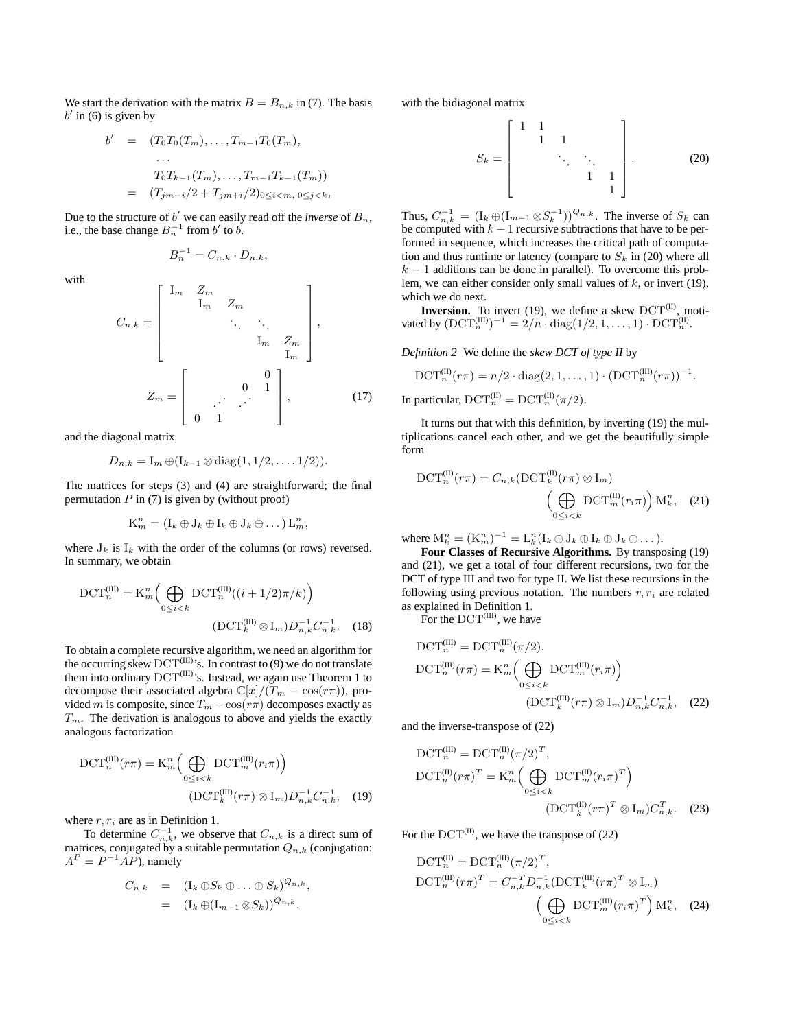We start the derivation with the matrix  $B = B_{n,k}$  in (7). The basis  $b'$  in (6) is given by

$$
b' = (T_0T_0(T_m), \dots, T_{m-1}T_0(T_m),
$$
  
\n...  
\n
$$
T_0T_{k-1}(T_m), \dots, T_{m-1}T_{k-1}(T_m))
$$
  
\n
$$
= (T_{jm-i}/2 + T_{jm+i}/2)_{0 \le i < m, 0 \le j < k},
$$

Due to the structure of  $b'$  we can easily read off the *inverse* of  $B_n$ , i.e., the base change  $B_n^{-1}$  from  $b'$  to  $b$ .

$$
B_n^{-1} = C_{n,k} \cdot D_{n,k},
$$

with

$$
C_{n,k} = \begin{bmatrix} I_m & Z_m & & & \\ & I_m & Z_m & & \\ & & \ddots & \ddots & \\ & & & I_m & Z_m \\ & & & & I_m \end{bmatrix},
$$

$$
Z_m = \begin{bmatrix} 0 & 1 & 0 & 1 \\ & & \ddots & \ddots & \\ 0 & 1 & 0 & 1 \end{bmatrix},
$$
(17)

and the diagonal matrix

$$
D_{n,k} = I_m \oplus (I_{k-1} \otimes \text{diag}(1,1/2,\ldots,1/2)).
$$

The matrices for steps (3) and (4) are straightforward; the final permutation  $P$  in (7) is given by (without proof)

$$
K_m^n = (I_k \oplus J_k \oplus I_k \oplus J_k \oplus \dots) L_m^n,
$$

where  $J_k$  is  $I_k$  with the order of the columns (or rows) reversed. In summary, we obtain

$$
\text{DCT}_{n}^{(\text{III})} = \text{K}_{m}^{n} \left( \bigoplus_{0 \le i < k} \text{DCT}_{n}^{(\text{III})} \left( (i + 1/2)\pi / k \right) \right)
$$
\n
$$
\left( \text{DCT}_{k}^{(\text{III})} \otimes I_{m} \right) D_{n,k}^{-1} C_{n,k}^{-1} . \quad (18)
$$

To obtain a complete recursive algorithm, we need an algorithm for the occurring skew  $\mathrm{DCT}^{\text{(III)}\text{'s}}$ . In contrast to (9) we do not translate them into ordinary  $DCT^{(III)}$ 's. Instead, we again use Theorem 1 to decompose their associated algebra  $\mathbb{C}[x]/(T_m - \cos(r\pi))$ , provided m is composite, since  $T_m - \cos(r\pi)$  decomposes exactly as  $T_m$ . The derivation is analogous to above and yields the exactly analogous factorization

$$
DCT_n^{(III)}(r\pi) = K_m^n \left( \bigoplus_{0 \le i < k} DCT_m^{(III)}(r_i\pi) \right)
$$
\n
$$
(DCT_k^{(III)}(r\pi) \otimes I_m) D_{n,k}^{-1} C_{n,k}^{-1}, \quad (19)
$$

where  $r, r_i$  are as in Definition 1.

To determine  $C_{n,k}^{-1}$ , we observe that  $C_{n,k}$  is a direct sum of matrices, conjugated by a suitable permutation  $Q_{n,k}$  (conjugation:  $A^P = P^{-1}AP$ ), namely

$$
C_{n,k} = (\mathbf{I}_k \oplus S_k \oplus \ldots \oplus S_k)^{Q_{n,k}},
$$
  
=  $(\mathbf{I}_k \oplus (\mathbf{I}_{m-1} \otimes S_k))^{Q_{n,k}},$ 

with the bidiagonal matrix

$$
S_k = \begin{bmatrix} 1 & 1 & & & \\ & 1 & 1 & & \\ & & \ddots & \ddots & \\ & & & 1 & 1 \\ & & & & 1 \end{bmatrix} .
$$
 (20)

Thus,  $C_{n,k}^{-1} = (\mathbf{I}_k \oplus (\mathbf{I}_{m-1} \otimes S_k^{-1}))^{Q_{n,k}}$ . The inverse of  $S_k$  can be computed with  $k - 1$  recursive subtractions that have to be performed in sequence, which increases the critical path of computation and thus runtime or latency (compare to  $S_k$  in (20) where all  $k - 1$  additions can be done in parallel). To overcome this problem, we can either consider only small values of  $k$ , or invert (19), which we do next.

**Inversion.** To invert (19), we define a skew  $DCT^{(II)}$ , motivated by  $(DCT_n^{(III)})^{-1} = 2/n \cdot diag(1/2, 1, ..., 1) \cdot DCT_n^{(II)}$ .

*Definition 2* We define the *skew DCT of type II* by

$$
\mathrm{DCT}_n^{(\mathrm{II})}(r\pi)=n/2\cdot\mathrm{diag}(2,1,\ldots,1)\cdot(\mathrm{DCT}_n^{(\mathrm{III})}(r\pi))^{-1}.
$$

In particular,  $\mathrm{DCT}_n^{(II)} = \mathrm{DCT}_n^{(II)}(\pi/2)$ .

It turns out that with this definition, by inverting (19) the multiplications cancel each other, and we get the beautifully simple form

$$
\text{DCT}_{n}^{(\text{II})}(r\pi) = C_{n,k}(\text{DCT}_{k}^{(\text{II})}(r\pi) \otimes I_{m})
$$

$$
\left(\bigoplus_{0 \leq i < k} \text{DCT}_{m}^{(\text{II})}(r_{i}\pi)\right) \text{M}_{k}^{n}, \quad (21)
$$

where  $M_k^n = (K_m^n)^{-1} = L_k^n (I_k \oplus J_k \oplus I_k \oplus J_k \oplus \dots).$ 

**Four Classes of Recursive Algorithms.** By transposing (19) and (21), we get a total of four different recursions, two for the DCT of type III and two for type II. We list these recursions in the following using previous notation. The numbers  $r, r_i$  are related as explained in Definition 1.

For the  $\text{DCT}^{(III)}$ , we have

$$
\text{DCT}_{n}^{(\text{III})} = \text{DCT}_{n}^{(\text{III})}(\pi/2),
$$
  
\n
$$
\text{DCT}_{n}^{(\text{III})}(r\pi) = \text{K}_{m}^{n} \left( \bigoplus_{0 \le i < k} \text{DCT}_{m}^{(\text{III})}(r_{i}\pi) \right)
$$
  
\n
$$
(\text{DCT}_{k}^{(\text{III})}(r\pi) \otimes \text{I}_{m}) D_{n,k}^{-1} C_{n,k}^{-1}, \quad (22)
$$

and the inverse-transpose of (22)

$$
\text{DCT}_{n}^{(III)} = \text{DCT}_{n}^{(II)}(\pi/2)^{T},
$$
  
\n
$$
\text{DCT}_{n}^{(II)}(r\pi)^{T} = \text{K}_{m}^{n} \Big( \bigoplus_{0 \le i < k} \text{DCT}_{m}^{(II)}(r_{i}\pi)^{T} \Big)
$$
  
\n
$$
(\text{DCT}_{k}^{(II)}(r\pi)^{T} \otimes \text{I}_{m})C_{n,k}^{T}.
$$
\n(23)

For the  $DCT^{(II)}$ , we have the transpose of (22)

$$
\text{DCT}_{n}^{(II)} = \text{DCT}_{n}^{(III)}(\pi/2)^{T},
$$
  
\n
$$
\text{DCT}_{n}^{(III)}(r\pi)^{T} = C_{n,k}^{-T} D_{n,k}^{-1} (\text{DCT}_{k}^{(III)}(r\pi)^{T} \otimes I_{m})
$$
  
\n
$$
\left(\bigoplus_{0 \leq i < k} \text{DCT}_{m}^{(III)}(r_{i}\pi)^{T}\right) M_{k}^{n}, \quad (24)
$$